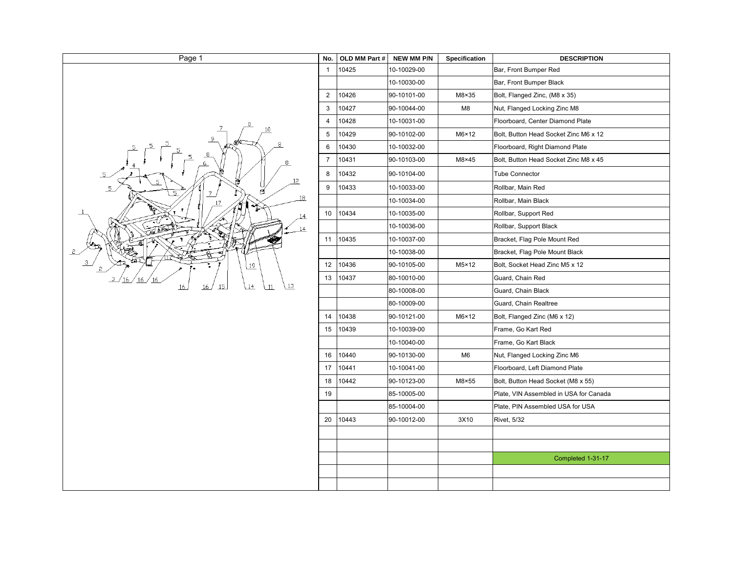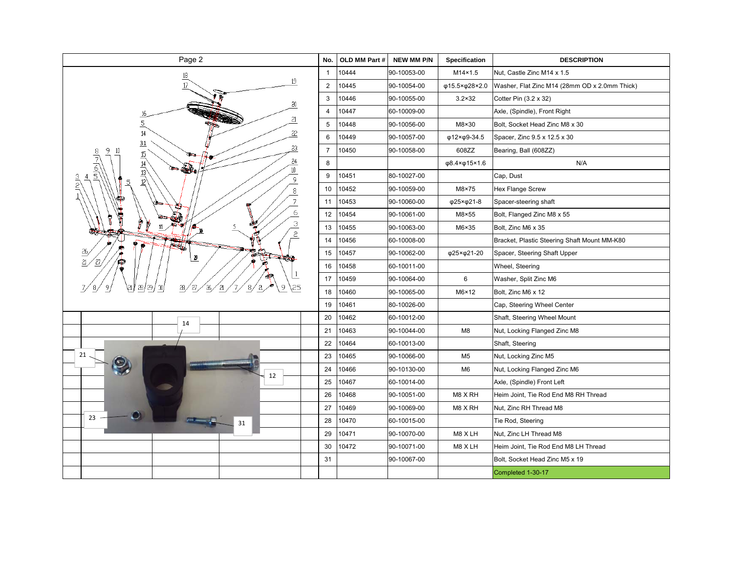| Page 2                                                              | No.            | OLD MM Part # | <b>NEW MM P/N</b> | Specification   | <b>DESCRIPTION</b>                            |
|---------------------------------------------------------------------|----------------|---------------|-------------------|-----------------|-----------------------------------------------|
| 18<br>19                                                            | $\overline{1}$ | 10444         | 90-10053-00       | M14×1.5         | Nut, Castle Zinc M14 x 1.5                    |
|                                                                     | $\overline{2}$ | 10445         | 90-10054-00       | φ15.5×φ28×2.0   | Washer, Flat Zinc M14 (28mm OD x 2.0mm Thick) |
| 20                                                                  | $\sqrt{3}$     | 10446         | 90-10055-00       | $3.2 \times 32$ | Cotter Pin (3.2 x 32)                         |
| 16                                                                  | $\overline{4}$ | 10447         | 60-10009-00       |                 | Axle, (Spindle), Front Right                  |
| $\mathbf{a}$<br>$\overline{5}$                                      | 5              | 10448         | 90-10056-00       | M8×30           | Bolt, Socket Head Zinc M8 x 30                |
| 14<br>22                                                            | 6              | 10449         | 90-10057-00       | φ12×φ9-34.5     | Spacer, Zinc 9.5 x 12.5 x 30                  |
| 31<br>23<br>$\frac{15}{2}$                                          | $\overline{7}$ | 10450         | 90-10058-00       | 608ZZ           | Bearing, Ball (608ZZ)                         |
| مرادرامراتا<br>24<br>$-40$                                          | 8              |               |                   | φ8.4×φ15×1.6    | N/A                                           |
| $\frac{14}{13}$<br>$\frac{13}{12}$<br>10<br>$\frac{3}{2}$<br>9<br>5 | 9              | 10451         | 80-10027-00       |                 | Cap, Dust                                     |
| 8                                                                   | 10             | 10452         | 90-10059-00       | M8×75           | Hex Flange Screw                              |
| $\overline{7}$                                                      | 11             | 10453         | 90-10060-00       | φ25×φ21-8       | Spacer-steering shaft                         |
| $\epsilon$                                                          | 12             | 10454         | 90-10061-00       | M8×55           | Bolt, Flanged Zinc M8 x 55                    |
| 3<br>$\tilde{c}$                                                    | 13             | 10455         | 90-10063-00       | M6×35           | Bolt, Zinc M6 x 35                            |
|                                                                     | 14             | 10456         | 60-10008-00       |                 | Bracket, Plastic Steering Shaft Mount MM-K80  |
| 29<br>一块化                                                           | 15             | 10457         | 90-10062-00       | φ25×φ21-20      | Spacer, Steering Shaft Upper                  |
| 27,                                                                 | 16             | 10458         | 60-10011-00       |                 | Wheel, Steering                               |
|                                                                     | 17             | 10459         | 90-10064-00       | 6               | Washer, Split Zinc M6                         |
| ,25<br>287<br>29 /<br>ã<br>9<br>27<br>N,<br>28<br>₽                 | 18             | 10460         | 90-10065-00       | $M6 \times 12$  | Bolt, Zinc M6 x 12                            |
|                                                                     | 19             | 10461         | 80-10026-00       |                 | Cap, Steering Wheel Center                    |
| 14                                                                  | 20             | 10462         | 60-10012-00       |                 | Shaft, Steering Wheel Mount                   |
|                                                                     | 21             | 10463         | 90-10044-00       | M8              | Nut, Locking Flanged Zinc M8                  |
|                                                                     | 22             | 10464         | 60-10013-00       |                 | Shaft, Steering                               |
| 21                                                                  | 23             | 10465         | 90-10066-00       | M <sub>5</sub>  | Nut, Locking Zinc M5                          |
|                                                                     | 24             | 10466         | 90-10130-00       | M <sub>6</sub>  | Nut, Locking Flanged Zinc M6                  |
| 12                                                                  | 25             | 10467         | 60-10014-00       |                 | Axle, (Spindle) Front Left                    |
|                                                                     | 26             | 10468         | 90-10051-00       | M8 X RH         | Heim Joint, Tie Rod End M8 RH Thread          |
|                                                                     | 27             | 10469         | 90-10069-00       | M8 X RH         | Nut, Zinc RH Thread M8                        |
| 23<br>31                                                            | 28             | 10470         | 60-10015-00       |                 | Tie Rod, Steering                             |
|                                                                     | 29             | 10471         | 90-10070-00       | M8 X LH         | Nut, Zinc LH Thread M8                        |
|                                                                     | 30             | 10472         | 90-10071-00       | M8 XLH          | Heim Joint, Tie Rod End M8 LH Thread          |
|                                                                     | 31             |               | 90-10067-00       |                 | Bolt, Socket Head Zinc M5 x 19                |
|                                                                     |                |               |                   |                 | Completed 1-30-17                             |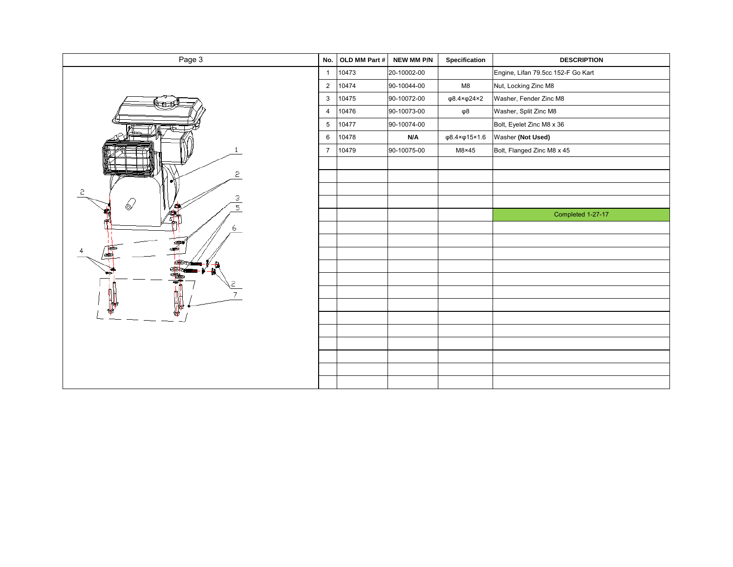| Page 3      | No.             | OLD MM Part # | NEW MM P/N  | Specification                 | <b>DESCRIPTION</b>                 |
|-------------|-----------------|---------------|-------------|-------------------------------|------------------------------------|
|             | $\overline{1}$  | 10473         | 20-10002-00 |                               | Engine, Lifan 79.5cc 152-F Go Kart |
|             | $\overline{2}$  | 10474         | 90-10044-00 | M8                            | Nut, Locking Zinc M8               |
|             | 3               | 10475         | 90-10072-00 | $\varphi$ 8.4× $\varphi$ 24×2 | Washer, Fender Zinc M8             |
|             | $\overline{4}$  | 10476         | 90-10073-00 | φ8                            | Washer, Split Zinc M8              |
|             | $5\phantom{.0}$ | 10477         | 90-10074-00 |                               | Bolt, Eyelet Zinc M8 x 36          |
|             | 6               | 10478         | N/A         | φ8.4×φ15×1.6                  | Washer (Not Used)                  |
|             | $\overline{7}$  | 10479         | 90-10075-00 | $M8\times 45$                 | Bolt, Flanged Zinc M8 x 45         |
|             |                 |               |             |                               |                                    |
| 2<br>e.     |                 |               |             |                               |                                    |
| 5           |                 |               |             |                               |                                    |
| З<br>6<br>5 |                 |               |             |                               |                                    |
|             |                 |               |             |                               | Completed 1-27-17                  |
| 6           |                 |               |             |                               |                                    |
|             |                 |               |             |                               |                                    |
| 鷱           |                 |               |             |                               |                                    |
|             |                 |               |             |                               |                                    |
|             |                 |               |             |                               |                                    |
|             |                 |               |             |                               |                                    |
|             |                 |               |             |                               |                                    |
|             |                 |               |             |                               |                                    |
|             |                 |               |             |                               |                                    |
|             |                 |               |             |                               |                                    |
|             |                 |               |             |                               |                                    |
|             |                 |               |             |                               |                                    |
|             |                 |               |             |                               |                                    |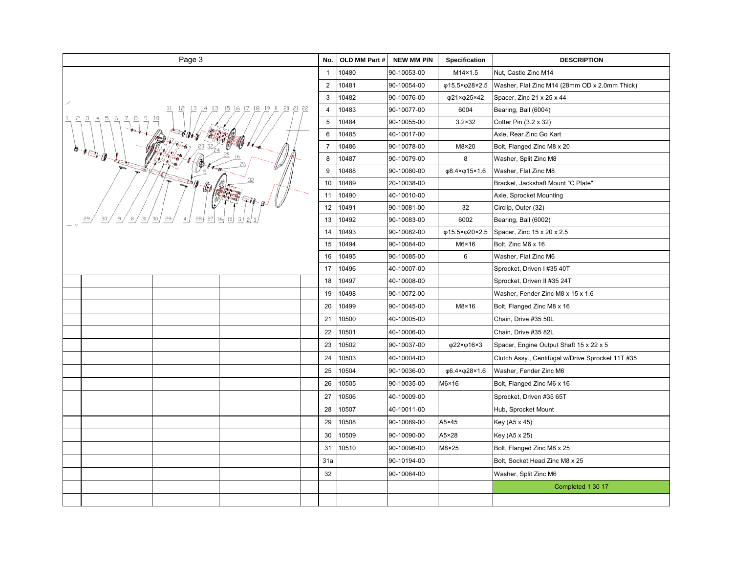| Page 3                                      | No.            | OLD MM Part # | <b>NEW MM P/N</b> | <b>Specification</b> | <b>DESCRIPTION</b>                                |
|---------------------------------------------|----------------|---------------|-------------------|----------------------|---------------------------------------------------|
|                                             | $\overline{1}$ | 10480         | 90-10053-00       | M14×1.5              | Nut, Castle Zinc M14                              |
|                                             | $\overline{2}$ | 10481         | 90-10054-00       | φ15.5×φ28×2.5        | Washer, Flat Zinc M14 (28mm OD x 2.0mm Thick)     |
|                                             | 3              | 10482         | 90-10076-00       | φ21×φ25×42           | Spacer, Zinc 21 x 25 x 44                         |
| 15 16 17 18 19 8<br>14 13<br>20 21 22<br>11 | $\overline{4}$ | 10483         | 90-10077-00       | 6004                 | Bearing, Ball (6004)                              |
| 5<br>$\overline{4}$<br>9<br>6               | 5              | 10484         | 90-10055-00       | $3.2 \times 32$      | Cotter Pin (3.2 x 32)                             |
|                                             | 6              | 10485         | 40-10017-00       |                      | Axle, Rear Zinc Go Kart                           |
|                                             | $\overline{7}$ | 10486         | 90-10078-00       | M8×20                | Bolt, Flanged Zinc M8 x 20                        |
| $H \rightarrow \theta$                      | 8              | 10487         | 90-10079-00       | 8                    | Washer, Split Zinc M8                             |
|                                             | 9              | 10488         | 90-10080-00       | φ8.4×φ15×1.6         | Washer, Flat Zinc M8                              |
|                                             | 10             | 10489         | 20-10038-00       |                      | Bracket, Jackshaft Mount "C Plate"                |
|                                             | 11             | 10490         | 40-10010-00       |                      | Axle, Sprocket Mounting                           |
|                                             | 12             | 10491         | 90-10081-00       | 32                   | Circlip, Outer (32)                               |
| 29<br>31<br>30<br>28                        | 13             | 10492         | 90-10083-00       | 6002                 | Bearing, Ball (6002)                              |
|                                             | 14             | 10493         | 90-10082-00       | φ15.5×φ20×2.5        | Spacer, Zinc 15 x 20 x 2.5                        |
|                                             | 15             | 10494         | 90-10084-00       | $M6\times 16$        | Bolt, Zinc M6 x 16                                |
|                                             | 16             | 10495         | 90-10085-00       | 6                    | Washer, Flat Zinc M6                              |
|                                             | 17             | 10496         | 40-10007-00       |                      | Sprocket, Driven I #35 40T                        |
|                                             | 18             | 10497         | 40-10008-00       |                      | Sprocket, Driven II #35 24T                       |
|                                             | 19             | 10498         | 90-10072-00       |                      | Washer, Fender Zinc M8 x 15 x 1.6                 |
|                                             | 20             | 10499         | 90-10045-00       | $M8\times 16$        | Bolt, Flanged Zinc M8 x 16                        |
|                                             | 21             | 10500         | 40-10005-00       |                      | Chain, Drive #35 50L                              |
|                                             | 22             | 10501         | 40-10006-00       |                      | Chain, Drive #35 82L                              |
|                                             | 23             | 10502         | 90-10037-00       | φ22×φ16×3            | Spacer, Engine Output Shaft 15 x 22 x 5           |
|                                             | 24             | 10503         | 40-10004-00       |                      | Clutch Assy., Centifugal w/Drive Sprocket 11T #35 |
|                                             | 25             | 10504         | 90-10036-00       | φ6.4×φ28×1.6         | Washer, Fender Zinc M6                            |
|                                             | 26             | 10505         | 90-10035-00       | M6×16                | Bolt, Flanged Zinc M6 x 16                        |
|                                             | 27             | 10506         | 40-10009-00       |                      | Sprocket, Driven #35 65T                          |
|                                             | 28             | 10507         | 40-10011-00       |                      | Hub, Sprocket Mount                               |
|                                             | 29             | 10508         | 90-10089-00       | A5×45                | Key (A5 x 45)                                     |
|                                             | 30             | 10509         | 90-10090-00       | A5×28                | Key (A5 x 25)                                     |
|                                             | 31             | 10510         | 90-10096-00       | M8×25                | Bolt, Flanged Zinc M8 x 25                        |
|                                             | 31a            |               | 90-10194-00       |                      | Bolt, Socket Head Zinc M8 x 25                    |
|                                             | 32             |               | 90-10064-00       |                      | Washer, Split Zinc M6                             |
|                                             |                |               |                   |                      | Completed 1 30 17                                 |
|                                             |                |               |                   |                      |                                                   |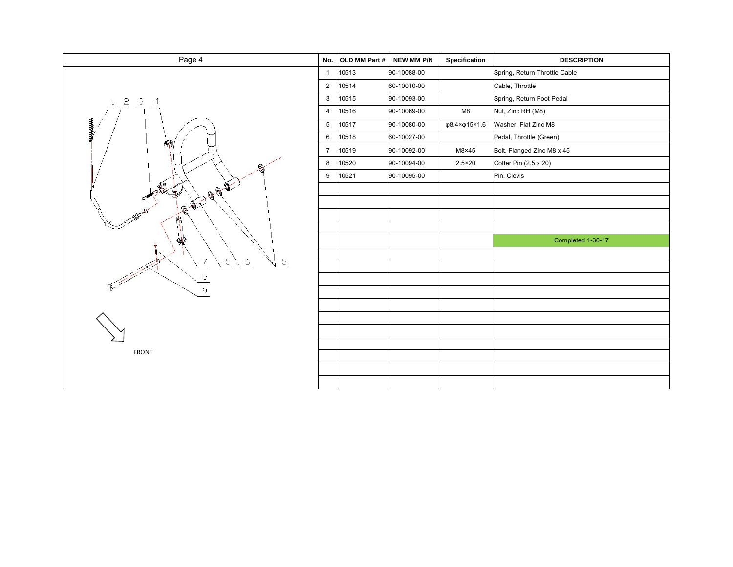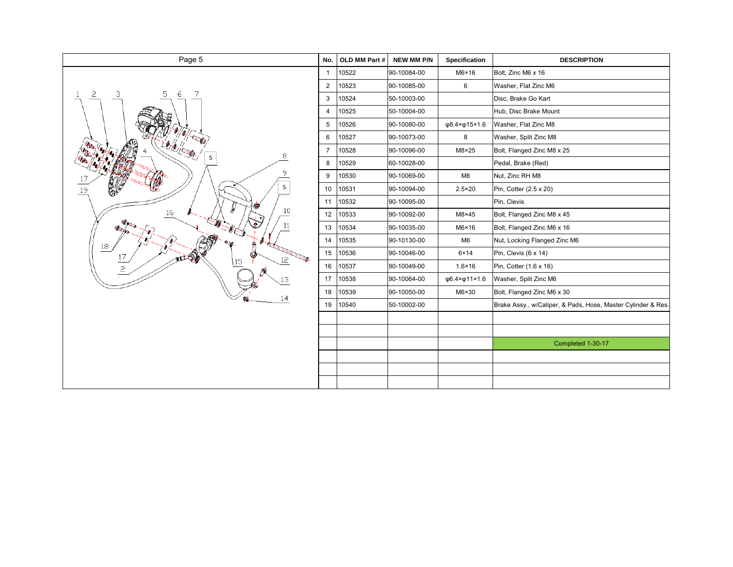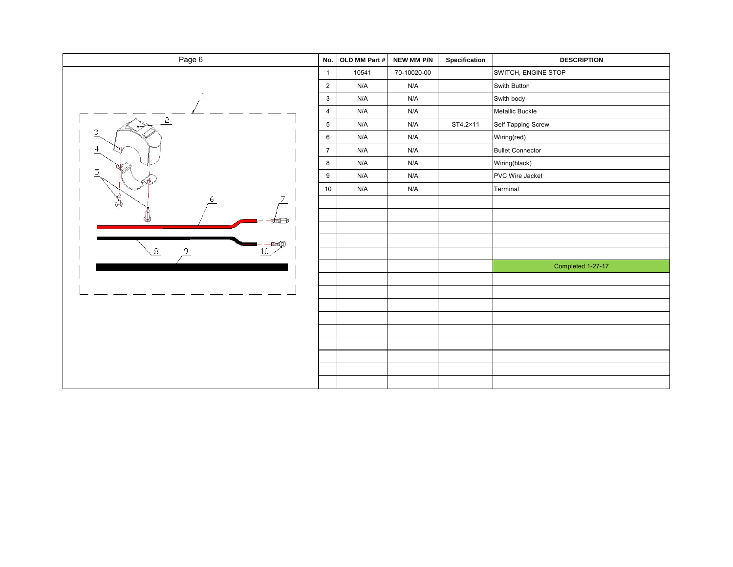| Page 6         | No.             | OLD MM Part #           | NEW MM P/N  | Specification | <b>DESCRIPTION</b>      |
|----------------|-----------------|-------------------------|-------------|---------------|-------------------------|
|                | $\mathbf{1}$    | 10541                   | 70-10020-00 |               | SWITCH, ENGINE STOP     |
|                | $\overline{2}$  | N/A                     | N/A         |               | Swith Button            |
|                | $\mathbf{3}$    | N/A                     | N/A         |               | Swith body              |
|                | $\overline{4}$  | N/A                     | N/A         |               | Metallic Buckle         |
| $\overline{c}$ | $5\phantom{.0}$ | N/A                     | N/A         | ST4.2×11      | Self Tapping Screw      |
| $\overline{3}$ | $\,6\,$         | N/A                     | N/A         |               | Wiring(red)             |
| $\frac{4}{1}$  | $\overline{7}$  | N/A                     | N/A         |               | <b>Bullet Connector</b> |
|                | 8               | $\mathsf{N}/\mathsf{A}$ | N/A         |               | Wiring(black)           |
| 5              | 9               | N/A                     | N/A         |               | PVC Wire Jacket         |
|                | 10              | N/A                     | N/A         |               | Terminal                |
| 7<br>6<br>♨    |                 |                         |             |               |                         |
| ⊭⊖             |                 |                         |             |               |                         |
|                |                 |                         |             |               |                         |
|                |                 |                         |             |               |                         |
| 8<br>9<br>10   |                 |                         |             |               |                         |
|                |                 |                         |             |               | Completed 1-27-17       |
|                |                 |                         |             |               |                         |
|                |                 |                         |             |               |                         |
|                |                 |                         |             |               |                         |
|                |                 |                         |             |               |                         |
|                |                 |                         |             |               |                         |
|                |                 |                         |             |               |                         |
|                |                 |                         |             |               |                         |
|                |                 |                         |             |               |                         |
|                |                 |                         |             |               |                         |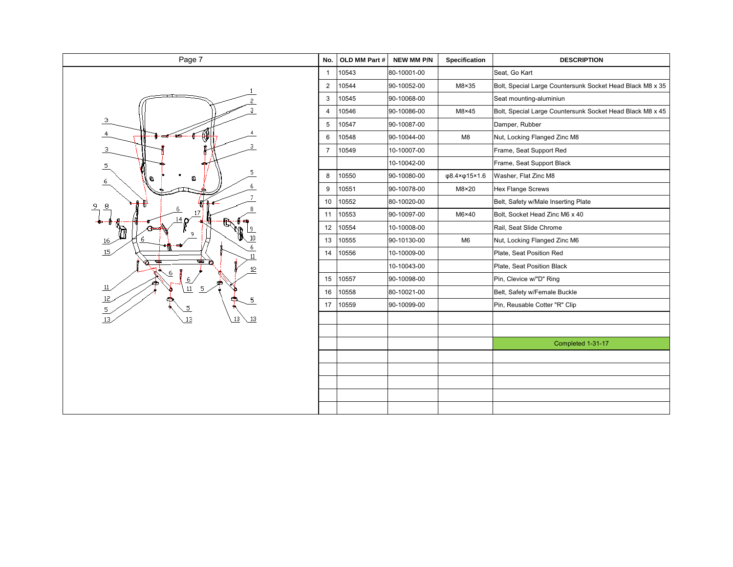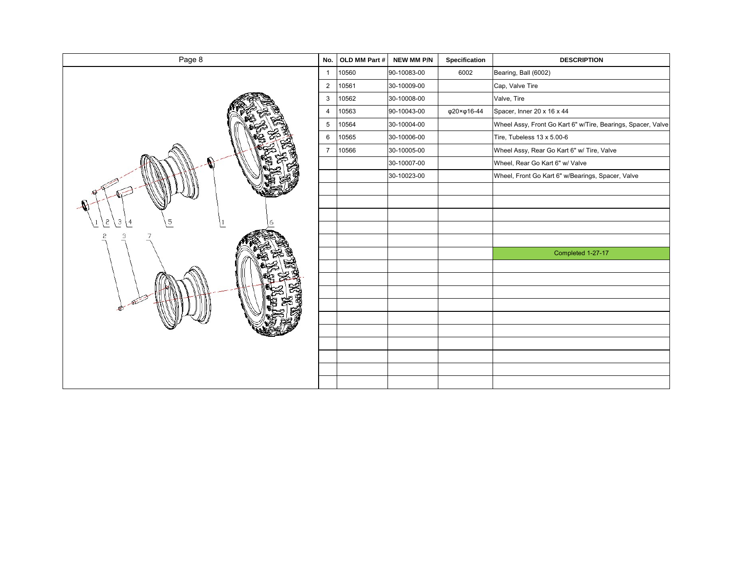| Page 8        | No.            | OLD MM Part # | NEW MM P/N  | Specification | <b>DESCRIPTION</b>                                           |
|---------------|----------------|---------------|-------------|---------------|--------------------------------------------------------------|
|               | $\overline{1}$ | 10560         | 90-10083-00 | 6002          | Bearing, Ball (6002)                                         |
|               | $\overline{2}$ | 10561         | 30-10009-00 |               | Cap, Valve Tire                                              |
|               | 3              | 10562         | 30-10008-00 |               | Valve, Tire                                                  |
|               | $\overline{4}$ | 10563         | 90-10043-00 | φ20×φ16-44    | Spacer, Inner 20 x 16 x 44                                   |
|               | $\sqrt{5}$     | 10564         | 30-10004-00 |               | Wheel Assy, Front Go Kart 6" w/Tire, Bearings, Spacer, Valve |
|               | 6              | 10565         | 30-10006-00 |               | Tire, Tubeless 13 x 5.00-6                                   |
|               | $\overline{7}$ | 10566         | 30-10005-00 |               | Wheel Assy, Rear Go Kart 6" w/ Tire, Valve                   |
|               |                |               | 30-10007-00 |               | Wheel, Rear Go Kart 6" w/ Valve                              |
|               |                |               | 30-10023-00 |               | Wheel, Front Go Kart 6" w/Bearings, Spacer, Valve            |
|               |                |               |             |               |                                                              |
|               |                |               |             |               |                                                              |
| 5             |                |               |             |               |                                                              |
| 3<br>5<br>ι 4 |                |               |             |               |                                                              |
| 3<br>2        |                |               |             |               |                                                              |
|               |                |               |             |               | Completed 1-27-17                                            |
|               |                |               |             |               |                                                              |
|               |                |               |             |               |                                                              |
|               |                |               |             |               |                                                              |
|               |                |               |             |               |                                                              |
|               |                |               |             |               |                                                              |
|               |                |               |             |               |                                                              |
|               |                |               |             |               |                                                              |
|               |                |               |             |               |                                                              |
|               |                |               |             |               |                                                              |
|               |                |               |             |               |                                                              |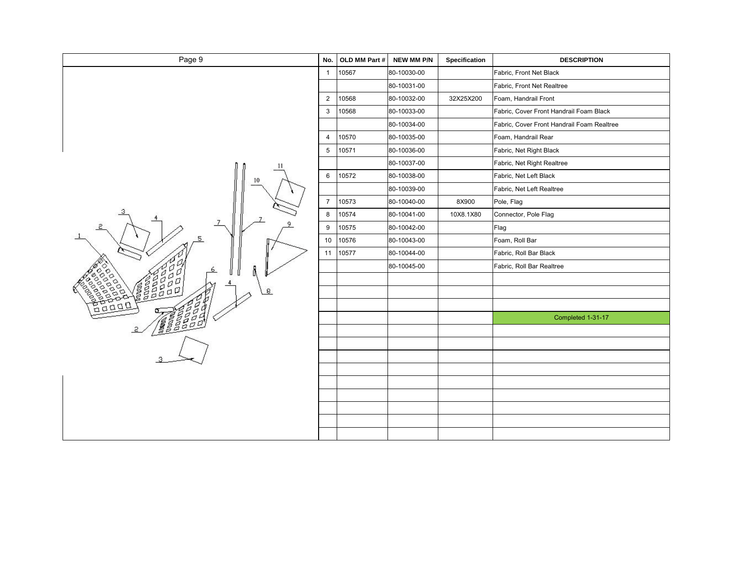| Page 9             | No.            | OLD MM Part # | NEW MM P/N  | Specification | <b>DESCRIPTION</b>                         |
|--------------------|----------------|---------------|-------------|---------------|--------------------------------------------|
|                    | $\mathbf{1}$   | 10567         | 80-10030-00 |               | Fabric, Front Net Black                    |
|                    |                |               | 80-10031-00 |               | Fabric, Front Net Realtree                 |
|                    | $\mathbf 2$    | 10568         | 80-10032-00 | 32X25X200     | Foam, Handrail Front                       |
|                    | $\mathbf{3}$   | 10568         | 80-10033-00 |               | Fabric, Cover Front Handrail Foam Black    |
|                    |                |               | 80-10034-00 |               | Fabric, Cover Front Handrail Foam Realtree |
|                    | $\overline{4}$ | 10570         | 80-10035-00 |               | Foam, Handrail Rear                        |
|                    | $\,$ 5 $\,$    | 10571         | 80-10036-00 |               | Fabric, Net Right Black                    |
|                    |                |               | 80-10037-00 |               | Fabric, Net Right Realtree                 |
| 10                 | 6              | 10572         | 80-10038-00 |               | Fabric, Net Left Black                     |
|                    |                |               | 80-10039-00 |               | Fabric, Net Left Realtree                  |
|                    | $\overline{7}$ | 10573         | 80-10040-00 | 8X900         | Pole, Flag                                 |
| 7                  | 8              | 10574         | 80-10041-00 | 10X8.1X80     | Connector, Pole Flag                       |
| 7                  | 9              | 10575         | 80-10042-00 |               | Flag                                       |
|                    | 10             | 10576         | 80-10043-00 |               | Foam, Roll Bar                             |
|                    | $11$           | 10577         | 80-10044-00 |               | Fabric, Roll Bar Black                     |
| 6                  |                |               | 80-10045-00 |               | Fabric, Roll Bar Realtree                  |
|                    |                |               |             |               |                                            |
| gão<br>8<br>ğ<br>a |                |               |             |               |                                            |
| $D_{DD}$<br>d      |                |               |             |               |                                            |
| ខ្វែទីទី១          |                |               |             |               | Completed 1-31-17                          |
| g                  |                |               |             |               |                                            |
|                    |                |               |             |               |                                            |
|                    |                |               |             |               |                                            |
|                    |                |               |             |               |                                            |
|                    |                |               |             |               |                                            |
|                    |                |               |             |               |                                            |
|                    |                |               |             |               |                                            |
|                    |                |               |             |               |                                            |
|                    |                |               |             |               |                                            |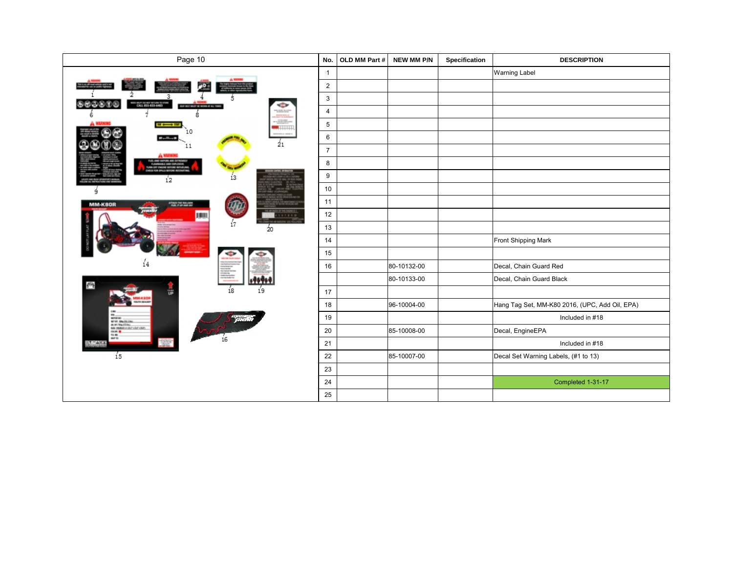| Page 10                                                                | No.              | OLD MM Part # | NEW MM P/N  | Specification | <b>DESCRIPTION</b>                             |
|------------------------------------------------------------------------|------------------|---------------|-------------|---------------|------------------------------------------------|
|                                                                        | $\mathbf{1}$     |               |             |               | Warning Label                                  |
|                                                                        | $\overline{2}$   |               |             |               |                                                |
| CALL 855-833-6483                                                      | 3                |               |             |               |                                                |
| <b>BOT MUST BE WORN AT A</b><br>8                                      | $\overline{4}$   |               |             |               |                                                |
| ------                                                                 | 5                |               |             |               |                                                |
| L٥<br>$_{21}$                                                          | $\,6\,$          |               |             |               |                                                |
| 11                                                                     | $\overline{7}$   |               |             |               |                                                |
|                                                                        | 8                |               |             |               |                                                |
| 13<br>í2                                                               | $\boldsymbol{9}$ |               |             |               |                                                |
| ٩                                                                      | $10$             |               |             |               |                                                |
| MM-K80R                                                                | 11               |               |             |               |                                                |
| 167891                                                                 | 12               |               |             |               |                                                |
| Ź0                                                                     | 13               |               |             |               |                                                |
|                                                                        | 14               |               |             |               | Front Shipping Mark                            |
|                                                                        | 15               |               |             |               |                                                |
| 14                                                                     | 16               |               | 80-10132-00 |               | Decal, Chain Guard Red                         |
| еų                                                                     |                  |               | 80-10133-00 |               | Decal, Chain Guard Black                       |
| $\frac{7}{19}$<br>í8                                                   | 17               |               |             |               |                                                |
|                                                                        | 18               |               | 96-10004-00 |               | Hang Tag Set, MM-K80 2016, (UPC, Add Oil, EPA) |
| MITARIO<br>MTVT. ONLIGATION<br>GA MT TRALTTTALL                        | 19               |               |             |               | Included in #18                                |
| SQL 14MH in JUT LIFT LBFT<br>$\frac{10.00 \text{ m}}{10.00 \text{ m}}$ | 20               |               | 85-10008-00 |               | Decal, EngineEPA                               |
| 16                                                                     | 21               |               |             |               | Included in #18                                |
| í5                                                                     | 22               |               | 85-10007-00 |               | Decal Set Warning Labels, (#1 to 13)           |
|                                                                        | 23               |               |             |               |                                                |
|                                                                        | 24               |               |             |               | Completed 1-31-17                              |
|                                                                        | 25               |               |             |               |                                                |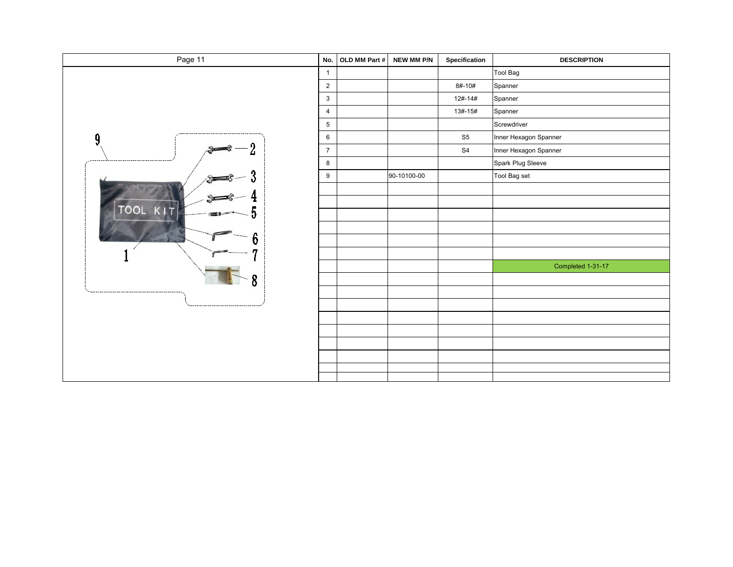| Page 11                        | No.            | OLD MM Part # | NEW MM P/N  | Specification  | <b>DESCRIPTION</b>    |
|--------------------------------|----------------|---------------|-------------|----------------|-----------------------|
|                                | $\mathbf{1}$   |               |             |                | Tool Bag              |
|                                | $\overline{2}$ |               |             | 8#-10#         | Spanner               |
|                                | 3              |               |             | 12#-14#        | Spanner               |
|                                | 4              |               |             | 13#-15#        | Spanner               |
|                                | $\,$ 5 $\,$    |               |             |                | Screwdriver           |
| -------------------------<br>n | 6              |               |             | S <sub>5</sub> | Inner Hexagon Spanner |
|                                | $\overline{7}$ |               |             | S <sub>4</sub> | Inner Hexagon Spanner |
|                                | 8              |               |             |                | Spark Plug Sleeve     |
|                                | 9              |               | 90-10100-00 |                | Tool Bag set          |
|                                |                |               |             |                |                       |
|                                |                |               |             |                |                       |
| TOOL<br>KIT                    |                |               |             |                |                       |
|                                |                |               |             |                |                       |
|                                |                |               |             |                |                       |
|                                |                |               |             |                |                       |
|                                |                |               |             |                | Completed 1-31-17     |
|                                |                |               |             |                |                       |
|                                |                |               |             |                |                       |
|                                |                |               |             |                |                       |
|                                |                |               |             |                |                       |
|                                |                |               |             |                |                       |
|                                |                |               |             |                |                       |
|                                |                |               |             |                |                       |
|                                |                |               |             |                |                       |
|                                |                |               |             |                |                       |